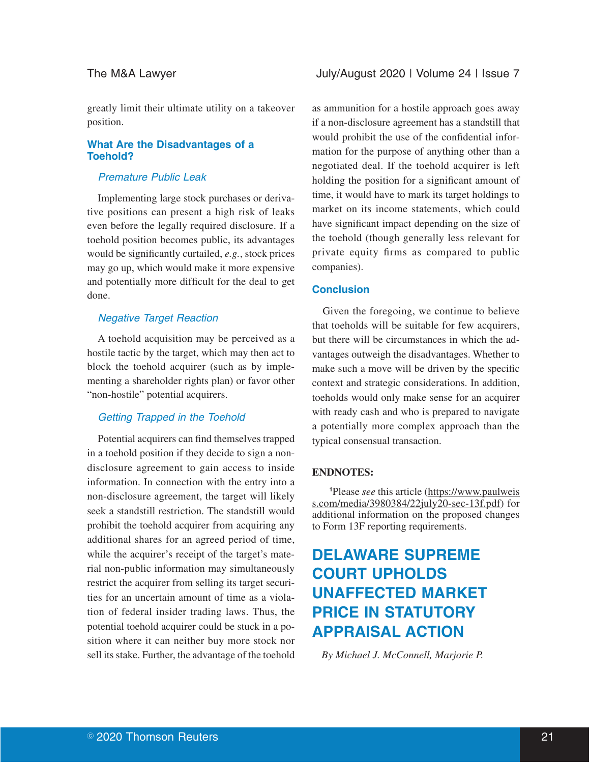greatly limit their ultimate utility on a takeover position.

## **What Are the Disadvantages of a Toehold?**

# Premature Public Leak

Implementing large stock purchases or derivative positions can present a high risk of leaks even before the legally required disclosure. If a toehold position becomes public, its advantages would be significantly curtailed, *e.g.*, stock prices may go up, which would make it more expensive and potentially more difficult for the deal to get done.

# Negative Target Reaction

A toehold acquisition may be perceived as a hostile tactic by the target, which may then act to block the toehold acquirer (such as by implementing a shareholder rights plan) or favor other "non-hostile" potential acquirers.

#### Getting Trapped in the Toehold

Potential acquirers can find themselves trapped in a toehold position if they decide to sign a nondisclosure agreement to gain access to inside information. In connection with the entry into a non-disclosure agreement, the target will likely seek a standstill restriction. The standstill would prohibit the toehold acquirer from acquiring any additional shares for an agreed period of time, while the acquirer's receipt of the target's material non-public information may simultaneously restrict the acquirer from selling its target securities for an uncertain amount of time as a violation of federal insider trading laws. Thus, the potential toehold acquirer could be stuck in a position where it can neither buy more stock nor sell its stake. Further, the advantage of the toehold

as ammunition for a hostile approach goes away if a non-disclosure agreement has a standstill that would prohibit the use of the confidential information for the purpose of anything other than a negotiated deal. If the toehold acquirer is left holding the position for a significant amount of time, it would have to mark its target holdings to market on its income statements, which could have significant impact depending on the size of the toehold (though generally less relevant for private equity firms as compared to public companies).

#### **Conclusion**

Given the foregoing, we continue to believe that toeholds will be suitable for few acquirers, but there will be circumstances in which the advantages outweigh the disadvantages. Whether to make such a move will be driven by the specific context and strategic considerations. In addition, toeholds would only make sense for an acquirer with ready cash and who is prepared to navigate a potentially more complex approach than the typical consensual transaction.

#### **ENDNOTES:**

**<sup>1</sup>**Please *see* this article (https://www.paulweis s.com/media/3980384/22july20-sec-13f.pdf) for additional information on the proposed changes to Form 13F reporting requirements.

# **DELAWARE SUPREME COURT UPHOLDS UNAFFECTED MARKET PRICE IN STATUTORY APPRAISAL ACTION**

*By Michael J. McConnell, Marjorie P.*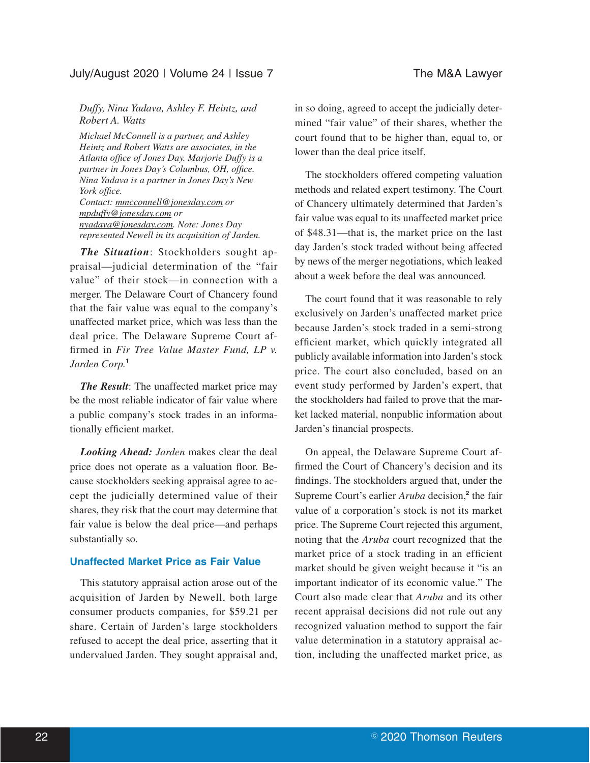# July/August 2020 | Volume 24 | Issue 7 The M&A Lawyer

### *Duffy, Nina Yadava, Ashley F. Heintz, and Robert A. Watts*

*Michael McConnell is a partner, and Ashley Heintz and Robert Watts are associates, in the Atlanta office of Jones Day. Marjorie Duffy is a partner in Jones Day's Columbus, OH, office. Nina Yadava is a partner in Jones Day's New York office.*

*Contact: mmcconnell@jonesday.com or mpduffy@jonesday.com or nyadava@jonesday.com. Note: Jones Day represented Newell in its acquisition of Jarden.*

*The Situation*: Stockholders sought appraisal—judicial determination of the "fair value" of their stock—in connection with a merger. The Delaware Court of Chancery found that the fair value was equal to the company's unaffected market price, which was less than the deal price. The Delaware Supreme Court affirmed in *Fir Tree Value Master Fund, LP v. Jarden Corp.***<sup>1</sup>**

*The Result*: The unaffected market price may be the most reliable indicator of fair value where a public company's stock trades in an informationally efficient market.

*Looking Ahead: Jarden* makes clear the deal price does not operate as a valuation floor. Because stockholders seeking appraisal agree to accept the judicially determined value of their shares, they risk that the court may determine that fair value is below the deal price—and perhaps substantially so.

### **Unaffected Market Price as Fair Value**

This statutory appraisal action arose out of the acquisition of Jarden by Newell, both large consumer products companies, for \$59.21 per share. Certain of Jarden's large stockholders refused to accept the deal price, asserting that it undervalued Jarden. They sought appraisal and, in so doing, agreed to accept the judicially determined "fair value" of their shares, whether the court found that to be higher than, equal to, or lower than the deal price itself.

The stockholders offered competing valuation methods and related expert testimony. The Court of Chancery ultimately determined that Jarden's fair value was equal to its unaffected market price of \$48.31—that is, the market price on the last day Jarden's stock traded without being affected by news of the merger negotiations, which leaked about a week before the deal was announced.

The court found that it was reasonable to rely exclusively on Jarden's unaffected market price because Jarden's stock traded in a semi-strong efficient market, which quickly integrated all publicly available information into Jarden's stock price. The court also concluded, based on an event study performed by Jarden's expert, that the stockholders had failed to prove that the market lacked material, nonpublic information about Jarden's financial prospects.

On appeal, the Delaware Supreme Court affirmed the Court of Chancery's decision and its findings. The stockholders argued that, under the Supreme Court's earlier *Aruba* decision,**<sup>2</sup>** the fair value of a corporation's stock is not its market price. The Supreme Court rejected this argument, noting that the *Aruba* court recognized that the market price of a stock trading in an efficient market should be given weight because it "is an important indicator of its economic value." The Court also made clear that *Aruba* and its other recent appraisal decisions did not rule out any recognized valuation method to support the fair value determination in a statutory appraisal action, including the unaffected market price, as